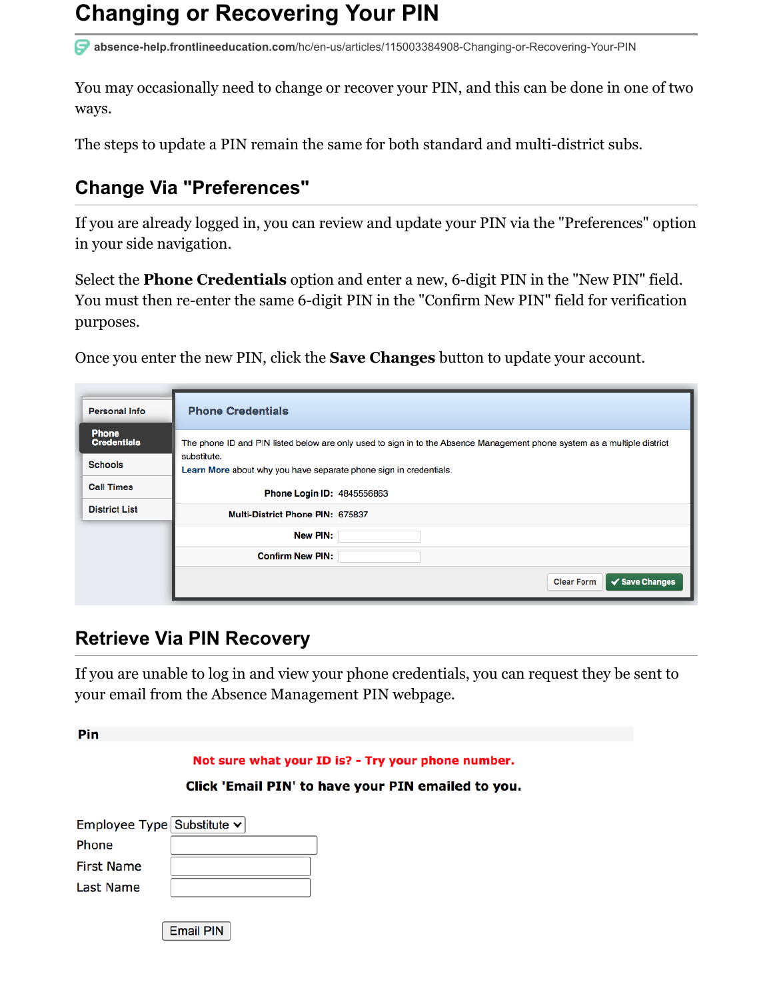## **Changing or Recovering Your PIN**

**absence-help.frontlineeducation.com**[/hc/en-us/articles/115003384908-Changing-or-Recovering-Your-PIN](https://absence-help.frontlineeducation.com/hc/en-us/articles/115003384908-Changing-or-Recovering-Your-PIN?)

You may occasionally need to change or recover your PIN, and this can be done in one of two ways.

The steps to update a PIN remain the same for both standard and multi-district subs.

## **Change Via "Preferences"**

If you are already logged in, you can review and update your PIN via the "Preferences" option in your side navigation.

Select the **Phone Credentials** option and enter a new, 6-digit PIN in the "New PIN" field. You must then re-enter the same 6-digit PIN in the "Confirm New PIN" field for verification purposes.

Once you enter the new PIN, click the **Save Changes** button to update your account.

| Personal Info                      | <b>Phone Credentials</b>                                                                                                 |
|------------------------------------|--------------------------------------------------------------------------------------------------------------------------|
| <b>Phone</b><br><b>Credentials</b> | The phone ID and PIN listed below are only used to sign in to the Absence Management phone system as a multiple district |
| <b>Schools</b>                     | substitute.<br>Learn More about why you have separate phone sign in credentials.                                         |
| <b>Call Times</b>                  | <b>Phone Login ID: 4845556863</b>                                                                                        |
| <b>District List</b>               | Multi-District Phone PIN: 675837                                                                                         |
|                                    | <b>New PIN:</b>                                                                                                          |
|                                    | <b>Confirm New PIN:</b>                                                                                                  |
|                                    | $\checkmark$ Save Changes<br><b>Clear Form</b>                                                                           |

## **Retrieve Via PIN Recovery**

If you are unable to log in and view your phone credentials, you can request they be sent to your email from the [Absence Management PIN webpage.](https://www.aesoponline.com/forgot_pin.asp)

| Pin                                                              |                                                    |
|------------------------------------------------------------------|----------------------------------------------------|
|                                                                  | Not sure what your ID is? - Try your phone number. |
|                                                                  | Click 'Email PIN' to have your PIN emailed to you. |
|                                                                  |                                                    |
| Employee Type Substitute $\left. \boldsymbol{\mathsf{v}}\right $ |                                                    |
| Phone                                                            |                                                    |
| First Name                                                       |                                                    |
| Last Name                                                        |                                                    |
|                                                                  |                                                    |
|                                                                  | <b>Email PIN</b>                                   |